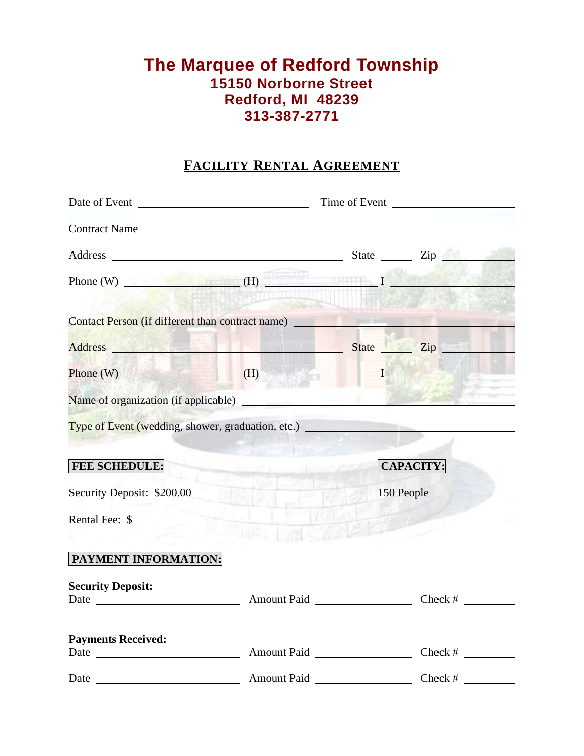# **The Marquee of Redford Township 15150 Norborne Street Redford, MI 48239 313-387-2771**

# **FACILITY RENTAL AGREEMENT**

| Contract Name                                    |              |                                                                               |                  |  |
|--------------------------------------------------|--------------|-------------------------------------------------------------------------------|------------------|--|
|                                                  |              |                                                                               |                  |  |
|                                                  | <b>ALLEN</b> | Phone (W) $\qquad \qquad$ (H)                                                 |                  |  |
|                                                  |              | <b>Contact Person (if different than contract name)</b> <u>Contact Person</u> |                  |  |
|                                                  |              | Address Zip                                                                   |                  |  |
|                                                  |              | Phone (W) $\qquad \qquad$ (H) $\qquad \qquad$ $I \qquad \qquad$               |                  |  |
|                                                  |              |                                                                               |                  |  |
|                                                  |              |                                                                               |                  |  |
| <b>FEE SCHEDULE:</b>                             |              | CAPACITY:                                                                     |                  |  |
| Security Deposit: \$200.00                       | $1006 + 1$   |                                                                               | 到去<br>150 People |  |
| Rental Fee: \$                                   |              |                                                                               |                  |  |
| PAYMENT INFORMATION:<br><b>Security Deposit:</b> |              |                                                                               |                  |  |
| <b>Payments Received:</b>                        |              |                                                                               |                  |  |
|                                                  |              | Date Amount Paid Check #                                                      |                  |  |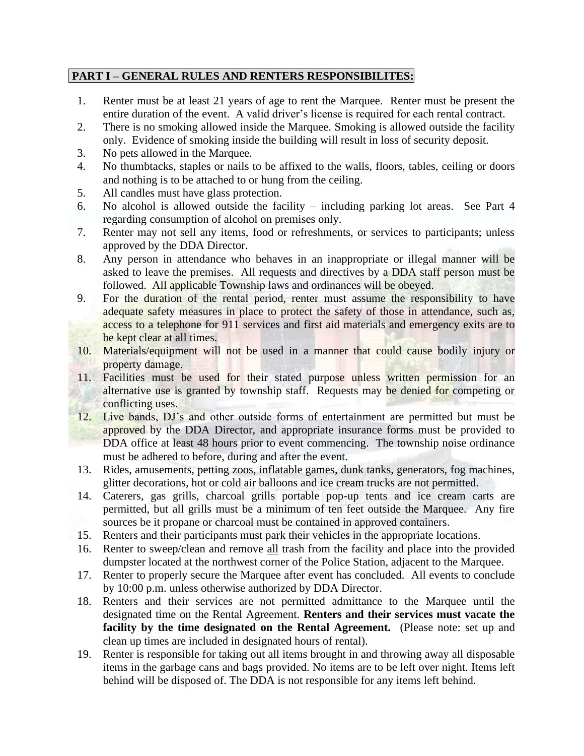## **PART I – GENERAL RULES AND RENTERS RESPONSIBILITES:**

- 1. Renter must be at least 21 years of age to rent the Marquee. Renter must be present the entire duration of the event. A valid driver's license is required for each rental contract.
- 2. There is no smoking allowed inside the Marquee. Smoking is allowed outside the facility only. Evidence of smoking inside the building will result in loss of security deposit.
- 3. No pets allowed in the Marquee.
- 4. No thumbtacks, staples or nails to be affixed to the walls, floors, tables, ceiling or doors and nothing is to be attached to or hung from the ceiling.
- 5. All candles must have glass protection.
- 6. No alcohol is allowed outside the facility including parking lot areas. See Part 4 regarding consumption of alcohol on premises only.
- 7. Renter may not sell any items, food or refreshments, or services to participants; unless approved by the DDA Director.
- 8. Any person in attendance who behaves in an inappropriate or illegal manner will be asked to leave the premises. All requests and directives by a DDA staff person must be followed. All applicable Township laws and ordinances will be obeyed.
- 9. For the duration of the rental period, renter must assume the responsibility to have adequate safety measures in place to protect the safety of those in attendance, such as, access to a telephone for 911 services and first aid materials and emergency exits are to be kept clear at all times.
- 10. Materials/equipment will not be used in a manner that could cause bodily injury or property damage.
- 11. Facilities must be used for their stated purpose unless written permission for an alternative use is granted by township staff. Requests may be denied for competing or conflicting uses.
- 12. Live bands, DJ's and other outside forms of entertainment are permitted but must be approved by the DDA Director, and appropriate insurance forms must be provided to DDA office at least 48 hours prior to event commencing. The township noise ordinance must be adhered to before, during and after the event.
- 13. Rides, amusements, petting zoos, inflatable games, dunk tanks, generators, fog machines, glitter decorations, hot or cold air balloons and ice cream trucks are not permitted.
- 14. Caterers, gas grills, charcoal grills portable pop-up tents and ice cream carts are permitted, but all grills must be a minimum of ten feet outside the Marquee. Any fire sources be it propane or charcoal must be contained in approved containers.
- 15. Renters and their participants must park their vehicles in the appropriate locations.
- 16. Renter to sweep/clean and remove all trash from the facility and place into the provided dumpster located at the northwest corner of the Police Station, adjacent to the Marquee.
- 17. Renter to properly secure the Marquee after event has concluded. All events to conclude by 10:00 p.m. unless otherwise authorized by DDA Director.
- 18. Renters and their services are not permitted admittance to the Marquee until the designated time on the Rental Agreement. **Renters and their services must vacate the facility by the time designated on the Rental Agreement.** (Please note: set up and clean up times are included in designated hours of rental).
- 19. Renter is responsible for taking out all items brought in and throwing away all disposable items in the garbage cans and bags provided. No items are to be left over night. Items left behind will be disposed of. The DDA is not responsible for any items left behind.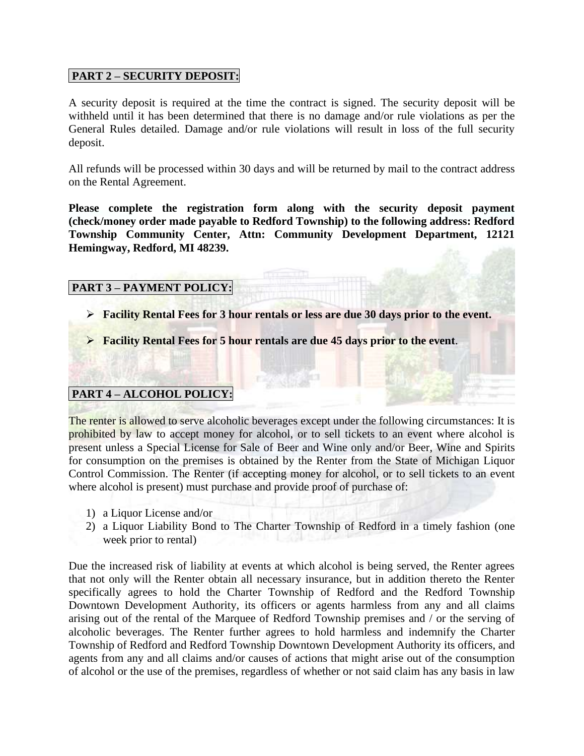## **PART 2 – SECURITY DEPOSIT:**

A security deposit is required at the time the contract is signed. The security deposit will be withheld until it has been determined that there is no damage and/or rule violations as per the General Rules detailed. Damage and/or rule violations will result in loss of the full security deposit.

All refunds will be processed within 30 days and will be returned by mail to the contract address on the Rental Agreement.

**Please complete the registration form along with the security deposit payment (check/money order made payable to Redford Township) to the following address: Redford Township Community Center, Attn: Community Development Department, 12121 Hemingway, Redford, MI 48239.**

#### **PART 3 – PAYMENT POLICY:**

- ➢ **Facility Rental Fees for 3 hour rentals or less are due 30 days prior to the event.**
- ➢ **Facility Rental Fees for 5 hour rentals are due 45 days prior to the event**.

# **PART 4 – ALCOHOL POLICY:**

The renter is allowed to serve alcoholic beverages except under the following circumstances: It is prohibited by law to accept money for alcohol, or to sell tickets to an event where alcohol is present unless a Special License for Sale of Beer and Wine only and/or Beer, Wine and Spirits for consumption on the premises is obtained by the Renter from the State of Michigan Liquor Control Commission. The Renter (if accepting money for alcohol, or to sell tickets to an event where alcohol is present) must purchase and provide proof of purchase of:

- 1) a Liquor License and/or
- 2) a Liquor Liability Bond to The Charter Township of Redford in a timely fashion (one week prior to rental)

Due the increased risk of liability at events at which alcohol is being served, the Renter agrees that not only will the Renter obtain all necessary insurance, but in addition thereto the Renter specifically agrees to hold the Charter Township of Redford and the Redford Township Downtown Development Authority, its officers or agents harmless from any and all claims arising out of the rental of the Marquee of Redford Township premises and / or the serving of alcoholic beverages. The Renter further agrees to hold harmless and indemnify the Charter Township of Redford and Redford Township Downtown Development Authority its officers, and agents from any and all claims and/or causes of actions that might arise out of the consumption of alcohol or the use of the premises, regardless of whether or not said claim has any basis in law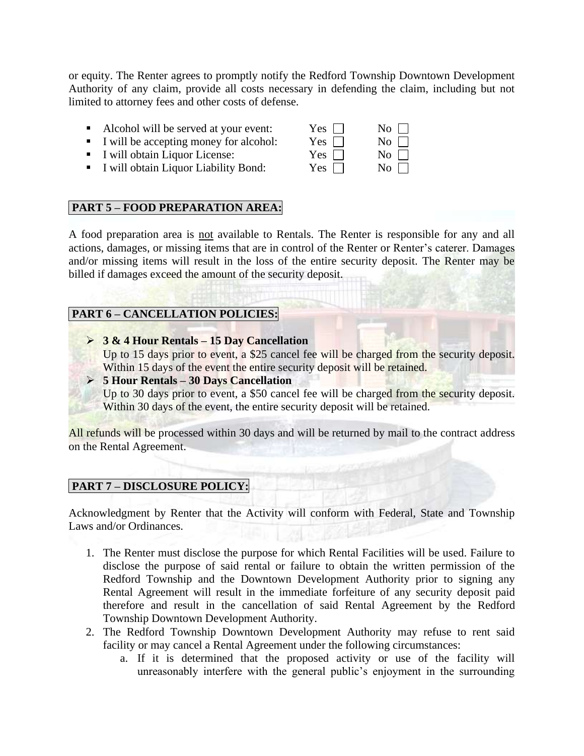or equity. The Renter agrees to promptly notify the Redford Township Downtown Development Authority of any claim, provide all costs necessary in defending the claim, including but not limited to attorney fees and other costs of defense.

- **•** Alcohol will be served at your event: Yes  $\Box$  No  $\Box$
- **I** will be accepting money for alcohol: Yes  $\Box$  No  $\Box$
- $\blacksquare$  I will obtain Liquor License: Yes  $\Box$  No  $\Box$
- **I** will obtain Liquor Liability Bond: Yes  $\Box$  No  $\Box$

# **PART 5 – FOOD PREPARATION AREA:**

A food preparation area is not available to Rentals. The Renter is responsible for any and all actions, damages, or missing items that are in control of the Renter or Renter's caterer. Damages and/or missing items will result in the loss of the entire security deposit. The Renter may be billed if damages exceed the amount of the security deposit.

## **PART 6 – CANCELLATION POLICIES:**

- ➢ **3 & 4 Hour Rentals – 15 Day Cancellation** Up to 15 days prior to event, a \$25 cancel fee will be charged from the security deposit. Within 15 days of the event the entire security deposit will be retained.
- ➢ **5 Hour Rentals – 30 Days Cancellation**

Up to 30 days prior to event, a \$50 cancel fee will be charged from the security deposit. Within 30 days of the event, the entire security deposit will be retained.

All refunds will be processed within 30 days and will be returned by mail to the contract address on the Rental Agreement.

# **PART 7 – DISCLOSURE POLICY:**

Acknowledgment by Renter that the Activity will conform with Federal, State and Township Laws and/or Ordinances.

- 1. The Renter must disclose the purpose for which Rental Facilities will be used. Failure to disclose the purpose of said rental or failure to obtain the written permission of the Redford Township and the Downtown Development Authority prior to signing any Rental Agreement will result in the immediate forfeiture of any security deposit paid therefore and result in the cancellation of said Rental Agreement by the Redford Township Downtown Development Authority.
- 2. The Redford Township Downtown Development Authority may refuse to rent said facility or may cancel a Rental Agreement under the following circumstances:
	- a. If it is determined that the proposed activity or use of the facility will unreasonably interfere with the general public's enjoyment in the surrounding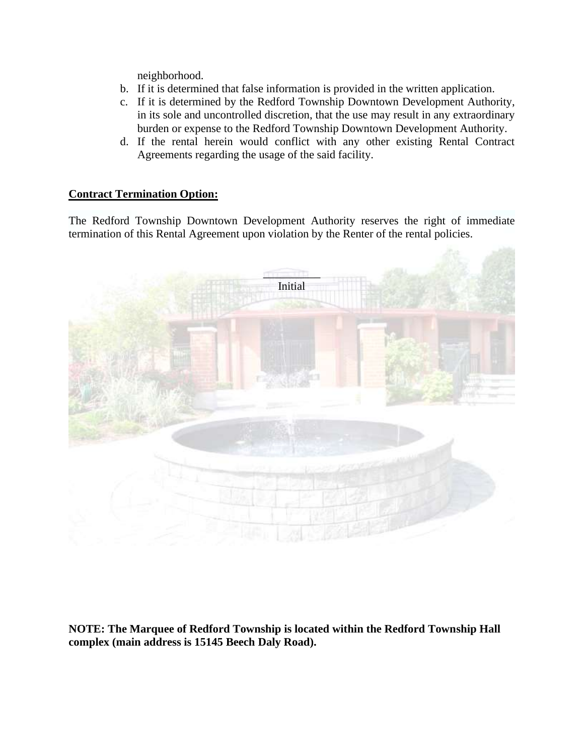neighborhood.

- b. If it is determined that false information is provided in the written application.
- c. If it is determined by the Redford Township Downtown Development Authority, in its sole and uncontrolled discretion, that the use may result in any extraordinary burden or expense to the Redford Township Downtown Development Authority.
- d. If the rental herein would conflict with any other existing Rental Contract Agreements regarding the usage of the said facility.

#### **Contract Termination Option:**

The Redford Township Downtown Development Authority reserves the right of immediate termination of this Rental Agreement upon violation by the Renter of the rental policies.



**NOTE: The Marquee of Redford Township is located within the Redford Township Hall complex (main address is 15145 Beech Daly Road).**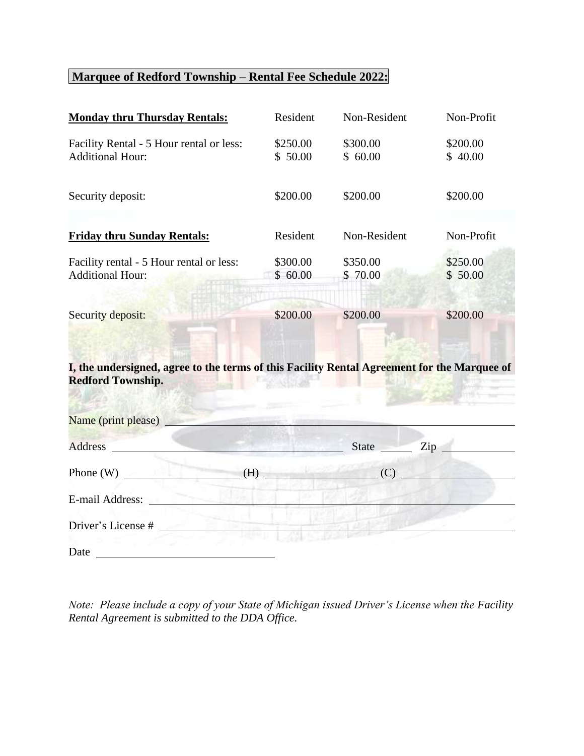# **Marquee of Redford Township – Rental Fee Schedule 2022:**

| <b>Monday thru Thursday Rentals:</b>                                                                                                                                                                                                                   | Resident            | Non-Resident        | Non-Profit          |
|--------------------------------------------------------------------------------------------------------------------------------------------------------------------------------------------------------------------------------------------------------|---------------------|---------------------|---------------------|
| Facility Rental - 5 Hour rental or less:<br><b>Additional Hour:</b>                                                                                                                                                                                    | \$250.00<br>\$50.00 | \$300.00<br>\$60.00 | \$200.00<br>\$40.00 |
| Security deposit:                                                                                                                                                                                                                                      | \$200.00            | \$200.00            | \$200.00            |
| <b>Friday thru Sunday Rentals:</b>                                                                                                                                                                                                                     | Resident            | Non-Resident        | Non-Profit          |
| Facility rental - 5 Hour rental or less:<br><b>Additional Hour:</b>                                                                                                                                                                                    | \$300.00<br>\$60.00 | \$350.00<br>\$70.00 | \$250.00<br>\$50.00 |
| <b>Security deposit:</b>                                                                                                                                                                                                                               | \$200.00            | \$200.00            | \$200.00            |
| I, the undersigned, agree to the terms of this Facility Rental Agreement for the Marquee of<br><b>Redford Township.</b>                                                                                                                                |                     |                     |                     |
| Name (print please)                                                                                                                                                                                                                                    |                     |                     |                     |
| <b>Address</b><br><u> De Carlos de Carlos de Carlos de Carlos de Carlos de Carlos de Carlos de Carlos de Carlos de Carlos de Carlos de Carlos de Carlos de Carlos de Carlos de Carlos de Carlos de Carlos de Carlos de Carlos de Carlos de Carlos </u> |                     | State Zip           |                     |
| Phone (W) $\qquad (H)$                                                                                                                                                                                                                                 |                     | (C)                 |                     |
| E-mail Address:                                                                                                                                                                                                                                        |                     |                     |                     |
| Driver's License #                                                                                                                                                                                                                                     |                     |                     |                     |
| Date                                                                                                                                                                                                                                                   |                     |                     |                     |

*Note: Please include a copy of your State of Michigan issued Driver's License when the Facility Rental Agreement is submitted to the DDA Office.*